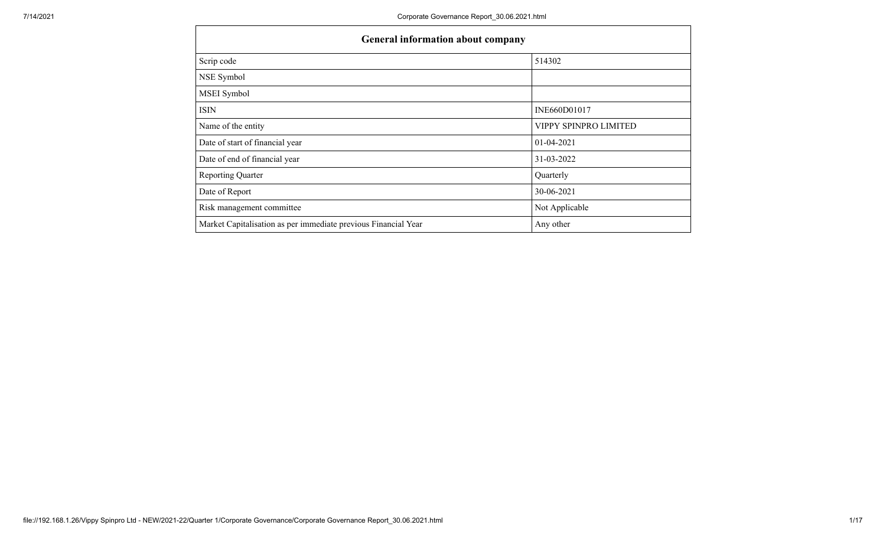| <b>General information about company</b>                       |                       |  |  |  |  |  |  |  |  |
|----------------------------------------------------------------|-----------------------|--|--|--|--|--|--|--|--|
| Scrip code                                                     | 514302                |  |  |  |  |  |  |  |  |
| NSE Symbol                                                     |                       |  |  |  |  |  |  |  |  |
| MSEI Symbol                                                    |                       |  |  |  |  |  |  |  |  |
| <b>ISIN</b>                                                    | INE660D01017          |  |  |  |  |  |  |  |  |
| Name of the entity                                             | VIPPY SPINPRO LIMITED |  |  |  |  |  |  |  |  |
| Date of start of financial year                                | $01-04-2021$          |  |  |  |  |  |  |  |  |
| Date of end of financial year                                  | 31-03-2022            |  |  |  |  |  |  |  |  |
| <b>Reporting Quarter</b>                                       | Quarterly             |  |  |  |  |  |  |  |  |
| Date of Report                                                 | 30-06-2021            |  |  |  |  |  |  |  |  |
| Risk management committee                                      | Not Applicable        |  |  |  |  |  |  |  |  |
| Market Capitalisation as per immediate previous Financial Year | Any other             |  |  |  |  |  |  |  |  |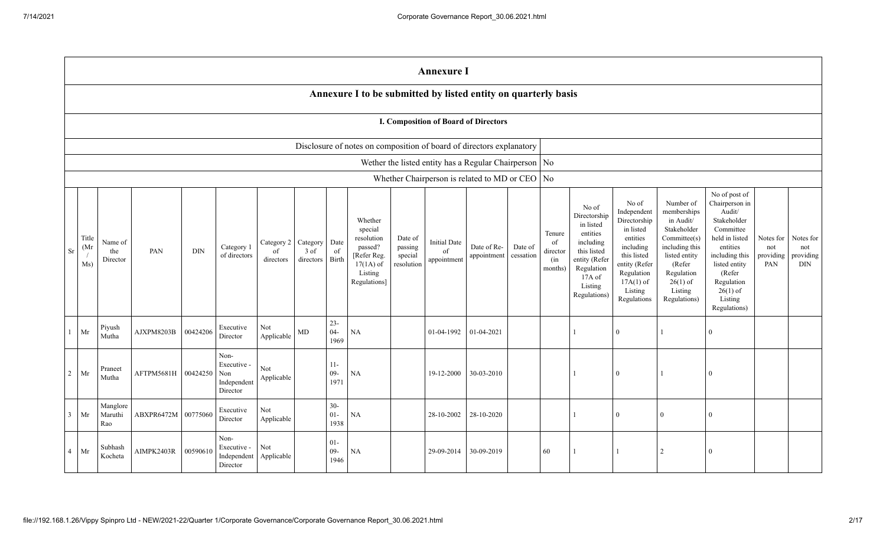|                |                      | <b>Annexure I</b>                                                    |            |            |                                                       |                               |                               |                          |                                                                                                      |                                             |                                          |                                                         |                      |                                            |                                                                                                                                                |                                                                                                                                                                   |                                                                                                                                                                          |                                                                                                                                                                                                         |                                      |                                             |
|----------------|----------------------|----------------------------------------------------------------------|------------|------------|-------------------------------------------------------|-------------------------------|-------------------------------|--------------------------|------------------------------------------------------------------------------------------------------|---------------------------------------------|------------------------------------------|---------------------------------------------------------|----------------------|--------------------------------------------|------------------------------------------------------------------------------------------------------------------------------------------------|-------------------------------------------------------------------------------------------------------------------------------------------------------------------|--------------------------------------------------------------------------------------------------------------------------------------------------------------------------|---------------------------------------------------------------------------------------------------------------------------------------------------------------------------------------------------------|--------------------------------------|---------------------------------------------|
|                |                      |                                                                      |            |            |                                                       |                               |                               |                          | Annexure I to be submitted by listed entity on quarterly basis                                       |                                             |                                          |                                                         |                      |                                            |                                                                                                                                                |                                                                                                                                                                   |                                                                                                                                                                          |                                                                                                                                                                                                         |                                      |                                             |
|                |                      | I. Composition of Board of Directors                                 |            |            |                                                       |                               |                               |                          |                                                                                                      |                                             |                                          |                                                         |                      |                                            |                                                                                                                                                |                                                                                                                                                                   |                                                                                                                                                                          |                                                                                                                                                                                                         |                                      |                                             |
|                |                      | Disclosure of notes on composition of board of directors explanatory |            |            |                                                       |                               |                               |                          |                                                                                                      |                                             |                                          |                                                         |                      |                                            |                                                                                                                                                |                                                                                                                                                                   |                                                                                                                                                                          |                                                                                                                                                                                                         |                                      |                                             |
|                |                      |                                                                      |            |            |                                                       |                               |                               |                          |                                                                                                      |                                             |                                          | Wether the listed entity has a Regular Chairperson   No |                      |                                            |                                                                                                                                                |                                                                                                                                                                   |                                                                                                                                                                          |                                                                                                                                                                                                         |                                      |                                             |
|                |                      |                                                                      |            |            |                                                       |                               |                               |                          |                                                                                                      |                                             |                                          | Whether Chairperson is related to MD or CEO   No        |                      |                                            |                                                                                                                                                |                                                                                                                                                                   |                                                                                                                                                                          |                                                                                                                                                                                                         |                                      |                                             |
| Sr             | Title<br>(Mr)<br>Ms) | Name of<br>the<br>Director                                           | PAN        | <b>DIN</b> | Category 1<br>of directors                            | Category 2<br>of<br>directors | Category<br>3 of<br>directors | Date<br>of<br>Birth      | Whether<br>special<br>resolution<br>passed?<br>[Refer Reg.<br>$17(1A)$ of<br>Listing<br>Regulations] | Date of<br>passing<br>special<br>resolution | <b>Initial Date</b><br>of<br>appointment | Date of Re-<br>appointment                              | Date of<br>cessation | Tenure<br>of<br>director<br>(in<br>months) | No of<br>Directorship<br>in listed<br>entities<br>including<br>this listed<br>entity (Refer<br>Regulation<br>17A of<br>Listing<br>Regulations) | No of<br>Independent<br>Directorship<br>in listed<br>entities<br>including<br>this listed<br>entity (Refer<br>Regulation<br>$17A(1)$ of<br>Listing<br>Regulations | Number of<br>memberships<br>in Audit/<br>Stakeholder<br>Committee(s)<br>including this<br>listed entity<br>(Refer<br>Regulation<br>$26(1)$ of<br>Listing<br>Regulations) | No of post of<br>Chairperson in<br>Audit/<br>Stakeholder<br>Committee<br>held in listed<br>entities<br>including this<br>listed entity<br>(Refer<br>Regulation<br>$26(1)$ of<br>Listing<br>Regulations) | Notes for<br>not<br>providing<br>PAN | Notes for<br>not<br>providing<br><b>DIN</b> |
|                | Mr                   | Piyush<br>Mutha                                                      | AJXPM8203B | 00424206   | Executive<br>Director                                 | Not<br>Applicable             | $\mbox{MD}$                   | $23 -$<br>$04 -$<br>1969 | $\rm NA$                                                                                             |                                             | 01-04-1992                               | 01-04-2021                                              |                      |                                            |                                                                                                                                                | $\mathbf{0}$                                                                                                                                                      |                                                                                                                                                                          | $\theta$                                                                                                                                                                                                |                                      |                                             |
| $\overline{2}$ | Mr                   | Praneet<br>Mutha                                                     | AFTPM5681H | 00424250   | Non-<br>Executive -<br>Non<br>Independent<br>Director | Not<br>Applicable             |                               | $11-$<br>$09 -$<br>1971  | NA                                                                                                   |                                             | 19-12-2000                               | 30-03-2010                                              |                      |                                            |                                                                                                                                                | $\mathbf{0}$                                                                                                                                                      |                                                                                                                                                                          | $\Omega$                                                                                                                                                                                                |                                      |                                             |
| 3              | Mr                   | Manglore<br>Maruthi<br>Rao                                           | ABXPR6472M | 00775060   | Executive<br>Director                                 | Not<br>Applicable             |                               | $30 -$<br>$01-$<br>1938  | NA                                                                                                   |                                             | 28-10-2002                               | 28-10-2020                                              |                      |                                            | $\mathbf{1}$                                                                                                                                   | $\mathbf{0}$                                                                                                                                                      | $\overline{0}$                                                                                                                                                           | $\Omega$                                                                                                                                                                                                |                                      |                                             |
| $\overline{4}$ | Mr                   | Subhash<br>Kocheta                                                   | AIMPK2403R | 00590610   | Non-<br>Executive -<br>Independent<br>Director        | Not<br>Applicable             |                               | $01 -$<br>$09 -$<br>1946 | NA                                                                                                   |                                             | 29-09-2014                               | 30-09-2019                                              |                      | 60                                         |                                                                                                                                                | $\overline{1}$                                                                                                                                                    | 2                                                                                                                                                                        | $\Omega$                                                                                                                                                                                                |                                      |                                             |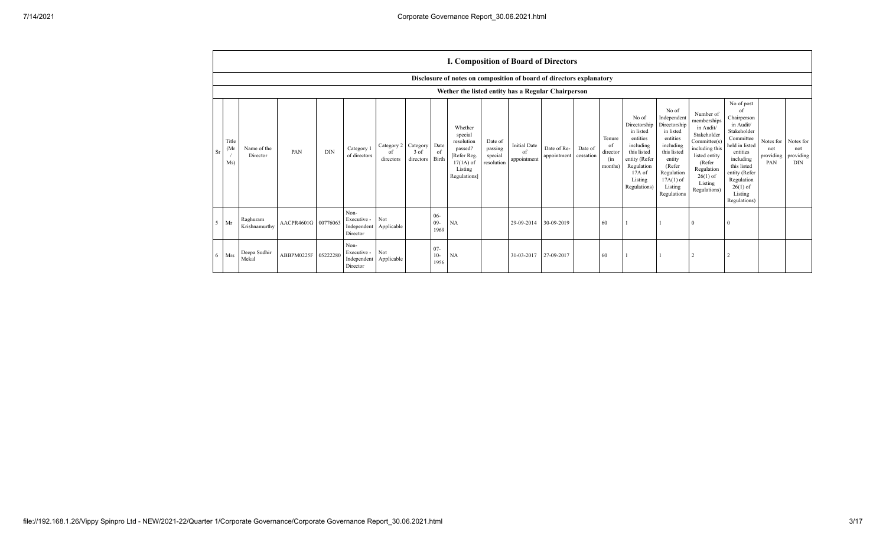|                | <b>I. Composition of Board of Directors</b>                          |                           |                     |            |                                                |                                |                                 |                          |                                                                                                      |                                             |                                          |                            |                      |                                            |                                                                                                                                                  |                                                                                                                                                                      |                                                                                                                                                                          |                                                                                                                                                                                                            |                                      |                                             |
|----------------|----------------------------------------------------------------------|---------------------------|---------------------|------------|------------------------------------------------|--------------------------------|---------------------------------|--------------------------|------------------------------------------------------------------------------------------------------|---------------------------------------------|------------------------------------------|----------------------------|----------------------|--------------------------------------------|--------------------------------------------------------------------------------------------------------------------------------------------------|----------------------------------------------------------------------------------------------------------------------------------------------------------------------|--------------------------------------------------------------------------------------------------------------------------------------------------------------------------|------------------------------------------------------------------------------------------------------------------------------------------------------------------------------------------------------------|--------------------------------------|---------------------------------------------|
|                | Disclosure of notes on composition of board of directors explanatory |                           |                     |            |                                                |                                |                                 |                          |                                                                                                      |                                             |                                          |                            |                      |                                            |                                                                                                                                                  |                                                                                                                                                                      |                                                                                                                                                                          |                                                                                                                                                                                                            |                                      |                                             |
|                | Wether the listed entity has a Regular Chairperson                   |                           |                     |            |                                                |                                |                                 |                          |                                                                                                      |                                             |                                          |                            |                      |                                            |                                                                                                                                                  |                                                                                                                                                                      |                                                                                                                                                                          |                                                                                                                                                                                                            |                                      |                                             |
| S <sub>1</sub> | Title<br>(Mr<br>Ms)                                                  | Name of the<br>Director   | PAN                 | <b>DIN</b> | Category 1<br>of directors                     | Category 2<br>-of<br>directors | Category  <br>3 of<br>directors | Date<br>of<br>Birth      | Whether<br>special<br>resolution<br>passed?<br>[Refer Reg.<br>$17(1A)$ of<br>Listing<br>Regulations] | Date of<br>passing<br>special<br>resolution | <b>Initial Date</b><br>of<br>appointment | Date of Re-<br>appointment | Date of<br>cessation | Tenure<br>of<br>director<br>(in<br>months) | No of<br>Directorship<br>in listed<br>entities<br>including<br>this listed<br>entity (Refer<br>Regulation<br>$17A$ of<br>Listing<br>Regulations) | No of<br>Independent<br>Directorship<br>in listed<br>entities<br>including<br>this listed<br>entity<br>(Refer<br>Regulation<br>$17A(1)$ of<br>Listing<br>Regulations | Number of<br>memberships<br>in Audit/<br>Stakeholder<br>Committee(s)<br>including this<br>listed entity<br>(Refer<br>Regulation<br>$26(1)$ of<br>Listing<br>Regulations) | No of post<br>of<br>Chairperson<br>in Audit/<br>Stakeholder<br>Committee<br>held in listed<br>entities<br>including<br>this listed<br>entity (Refer<br>Regulation<br>$26(1)$ of<br>Listing<br>Regulations) | Notes for<br>not<br>providing<br>PAN | Notes for<br>not<br>providing<br><b>DIN</b> |
| 5              | Mr                                                                   | Raghuram<br>Krishnamurthy | AACPR4601G 00776063 |            | Non-<br>Executive -<br>Independent<br>Director | Not<br>Applicable              |                                 | $06 -$<br>$09 -$<br>1969 | NA                                                                                                   |                                             | 29-09-2014                               | 30-09-2019                 |                      | 60                                         |                                                                                                                                                  |                                                                                                                                                                      |                                                                                                                                                                          | $\Omega$                                                                                                                                                                                                   |                                      |                                             |
| 6              | Mrs                                                                  | Deepa Sudhir<br>Mekal     | ABBPM0225F 05222280 |            | Non-<br>Executive -<br>Independent<br>Director | Not<br>Applicable              |                                 | $07 -$<br>$10-$<br>1956  | <b>NA</b>                                                                                            |                                             | 31-03-2017                               | 27-09-2017                 |                      | 60                                         |                                                                                                                                                  |                                                                                                                                                                      |                                                                                                                                                                          |                                                                                                                                                                                                            |                                      |                                             |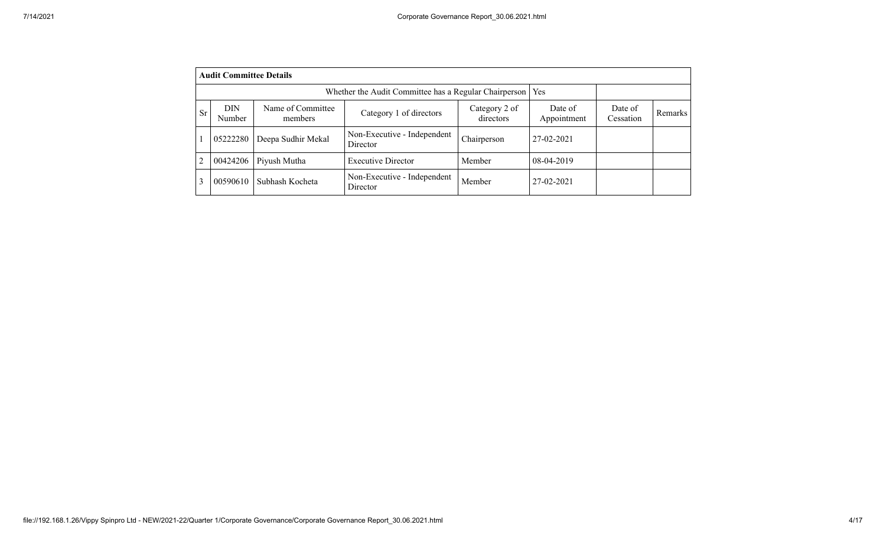|           | <b>Audit Committee Details</b> |                              |                                                             |                            |                        |                      |                |  |  |  |  |  |  |  |
|-----------|--------------------------------|------------------------------|-------------------------------------------------------------|----------------------------|------------------------|----------------------|----------------|--|--|--|--|--|--|--|
|           |                                |                              | Whether the Audit Committee has a Regular Chairperson   Yes |                            |                        |                      |                |  |  |  |  |  |  |  |
| <b>Sr</b> | <b>DIN</b><br>Number           | Name of Committee<br>members | Category 1 of directors                                     | Category 2 of<br>directors | Date of<br>Appointment | Date of<br>Cessation | <b>Remarks</b> |  |  |  |  |  |  |  |
|           | 05222280                       | Deepa Sudhir Mekal           | Non-Executive - Independent<br>Director                     | Chairperson                | 27-02-2021             |                      |                |  |  |  |  |  |  |  |
| 2         | 00424206                       | Piyush Mutha                 | <b>Executive Director</b>                                   | Member                     | 08-04-2019             |                      |                |  |  |  |  |  |  |  |
|           | 00590610                       | Subhash Kocheta              | Non-Executive - Independent<br>Director                     | Member                     | 27-02-2021             |                      |                |  |  |  |  |  |  |  |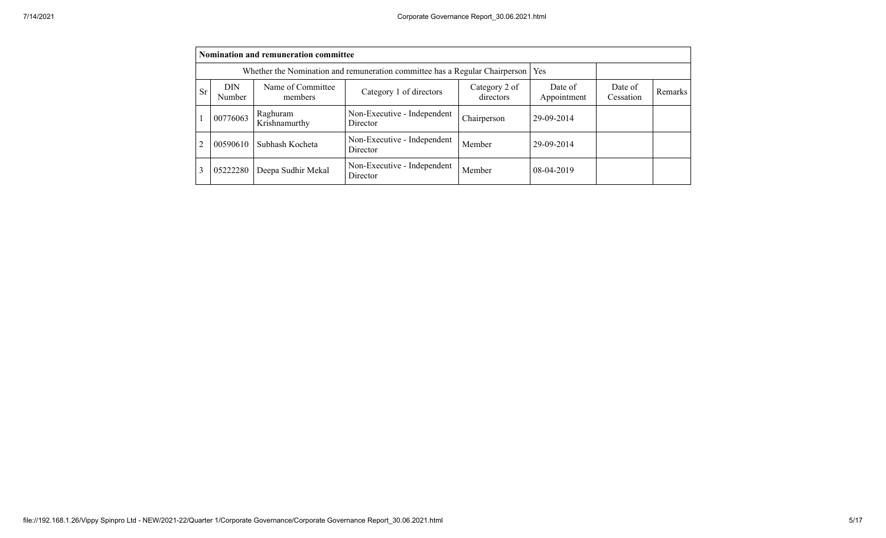|           | Nomination and remuneration committee                                              |                              |                                         |                        |                      |         |  |  |  |  |  |  |  |  |
|-----------|------------------------------------------------------------------------------------|------------------------------|-----------------------------------------|------------------------|----------------------|---------|--|--|--|--|--|--|--|--|
|           | Whether the Nomination and remuneration committee has a Regular Chairperson<br>Yes |                              |                                         |                        |                      |         |  |  |  |  |  |  |  |  |
| <b>Sr</b> | <b>DIN</b><br>Number                                                               | Name of Committee<br>members | Category 2 of<br>directors              | Date of<br>Appointment | Date of<br>Cessation | Remarks |  |  |  |  |  |  |  |  |
|           | 00776063                                                                           | Raghuram<br>Krishnamurthy    | Non-Executive - Independent<br>Director | Chairperson            | 29-09-2014           |         |  |  |  |  |  |  |  |  |
| 2         | 00590610                                                                           | Subhash Kocheta              | Non-Executive - Independent<br>Director | Member                 | 29-09-2014           |         |  |  |  |  |  |  |  |  |
| 3         | 05222280                                                                           | Deepa Sudhir Mekal           | Non-Executive - Independent<br>Director | Member                 | 08-04-2019           |         |  |  |  |  |  |  |  |  |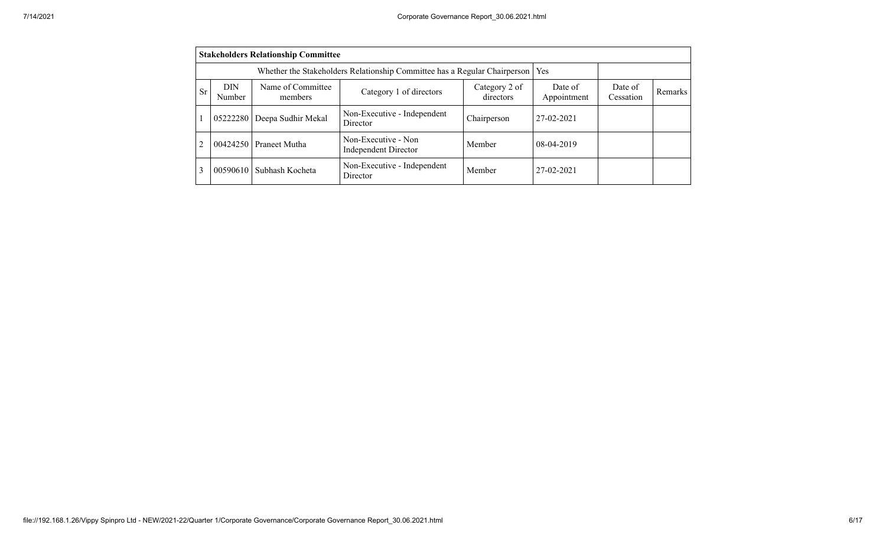|                                                                                                                                                                       | <b>Stakeholders Relationship Committee</b> |                                                                                 |                                                    |             |              |  |  |  |  |  |  |  |  |  |
|-----------------------------------------------------------------------------------------------------------------------------------------------------------------------|--------------------------------------------|---------------------------------------------------------------------------------|----------------------------------------------------|-------------|--------------|--|--|--|--|--|--|--|--|--|
|                                                                                                                                                                       |                                            | Whether the Stakeholders Relationship Committee has a Regular Chairperson   Yes |                                                    |             |              |  |  |  |  |  |  |  |  |  |
| Name of Committee<br><b>DIN</b><br>Date of<br>Category 2 of<br>Date of<br>Sr<br>Category 1 of directors<br>directors<br>Appointment<br>Cessation<br>Number<br>members |                                            |                                                                                 |                                                    |             |              |  |  |  |  |  |  |  |  |  |
|                                                                                                                                                                       | 05222280                                   | Deepa Sudhir Mekal                                                              | Non-Executive - Independent<br>Director            | Chairperson | 27-02-2021   |  |  |  |  |  |  |  |  |  |
| $\overline{2}$                                                                                                                                                        | 00424250                                   | Praneet Mutha                                                                   | Non-Executive - Non<br><b>Independent Director</b> | Member      | $08-04-2019$ |  |  |  |  |  |  |  |  |  |
| 3                                                                                                                                                                     | 00590610                                   | Subhash Kocheta                                                                 | Non-Executive - Independent<br>Director            | Member      | 27-02-2021   |  |  |  |  |  |  |  |  |  |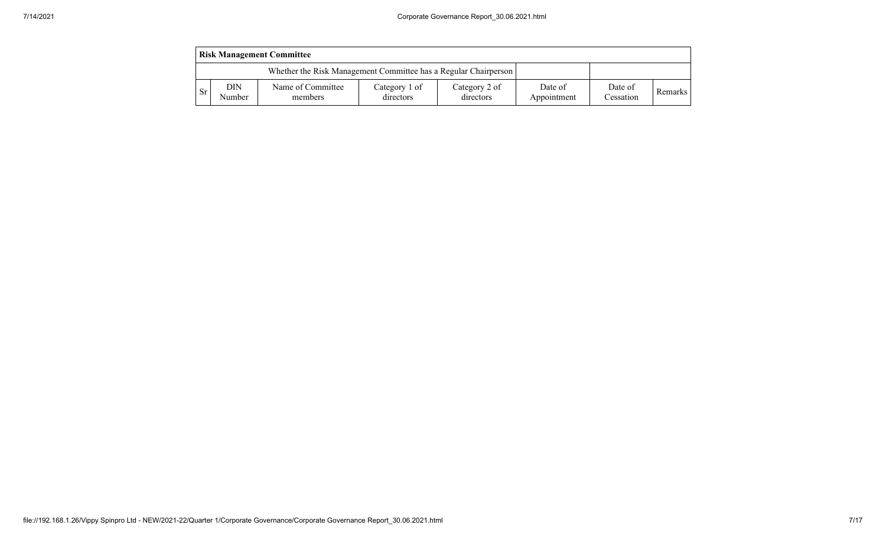|     | <b>Risk Management Committee</b> |                                                                 |                            |                            |                        |                      |         |  |  |  |  |  |  |
|-----|----------------------------------|-----------------------------------------------------------------|----------------------------|----------------------------|------------------------|----------------------|---------|--|--|--|--|--|--|
|     |                                  | Whether the Risk Management Committee has a Regular Chairperson |                            |                            |                        |                      |         |  |  |  |  |  |  |
| -Sr | DIN<br>Number                    | Name of Committee<br>members                                    | Category 1 of<br>directors | Category 2 of<br>directors | Date of<br>Appointment | Date of<br>Cessation | Remarks |  |  |  |  |  |  |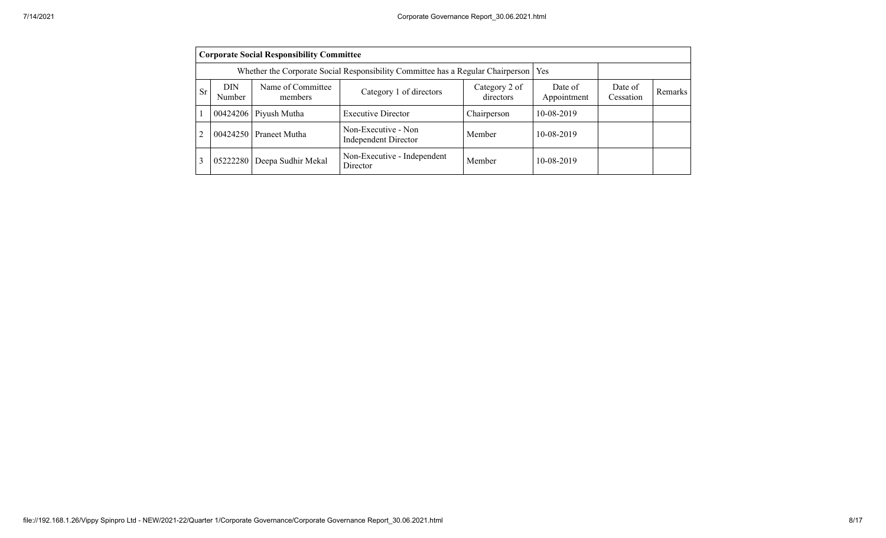|                                                                                                                                                                                         | <b>Corporate Social Responsibility Committee</b> |                                                                                 |                                                    |             |            |  |  |  |  |  |  |  |  |
|-----------------------------------------------------------------------------------------------------------------------------------------------------------------------------------------|--------------------------------------------------|---------------------------------------------------------------------------------|----------------------------------------------------|-------------|------------|--|--|--|--|--|--|--|--|
|                                                                                                                                                                                         |                                                  | Whether the Corporate Social Responsibility Committee has a Regular Chairperson |                                                    | Yes         |            |  |  |  |  |  |  |  |  |
| Name of Committee<br><b>DIN</b><br>Date of<br>Date of<br>Category 2 of<br>Category 1 of directors<br><b>Sr</b><br>Remarks<br>directors<br>Appointment<br>Cessation<br>Number<br>members |                                                  |                                                                                 |                                                    |             |            |  |  |  |  |  |  |  |  |
|                                                                                                                                                                                         |                                                  | $00424206$ Piyush Mutha                                                         | <b>Executive Director</b>                          | Chairperson | 10-08-2019 |  |  |  |  |  |  |  |  |
|                                                                                                                                                                                         |                                                  | 00424250 Praneet Mutha                                                          | Non-Executive - Non<br><b>Independent Director</b> | Member      | 10-08-2019 |  |  |  |  |  |  |  |  |
|                                                                                                                                                                                         | 05222280                                         | Deepa Sudhir Mekal                                                              | Non-Executive - Independent<br>Director            | Member      | 10-08-2019 |  |  |  |  |  |  |  |  |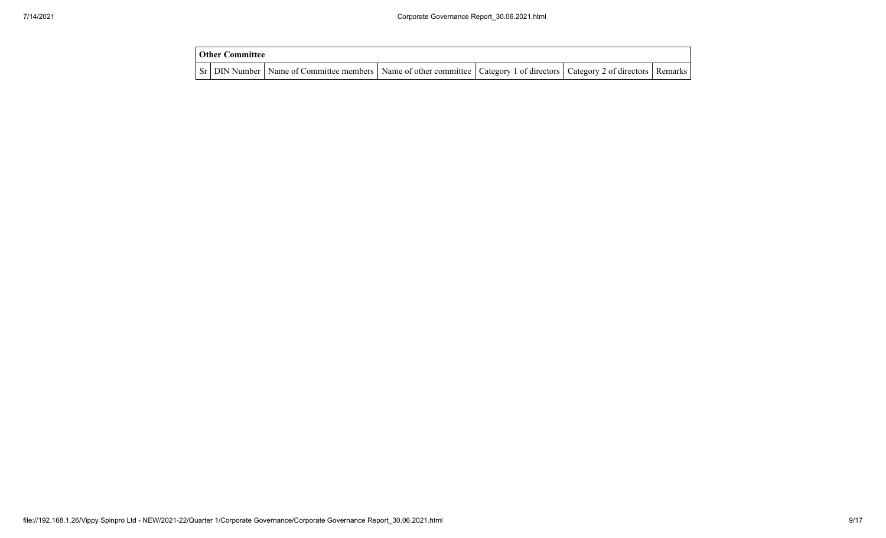| <b>Other Committee</b> |                                                                                                                                     |  |  |
|------------------------|-------------------------------------------------------------------------------------------------------------------------------------|--|--|
|                        | Sr   DIN Number   Name of Committee members   Name of other committee   Category 1 of directors   Category 2 of directors   Remarks |  |  |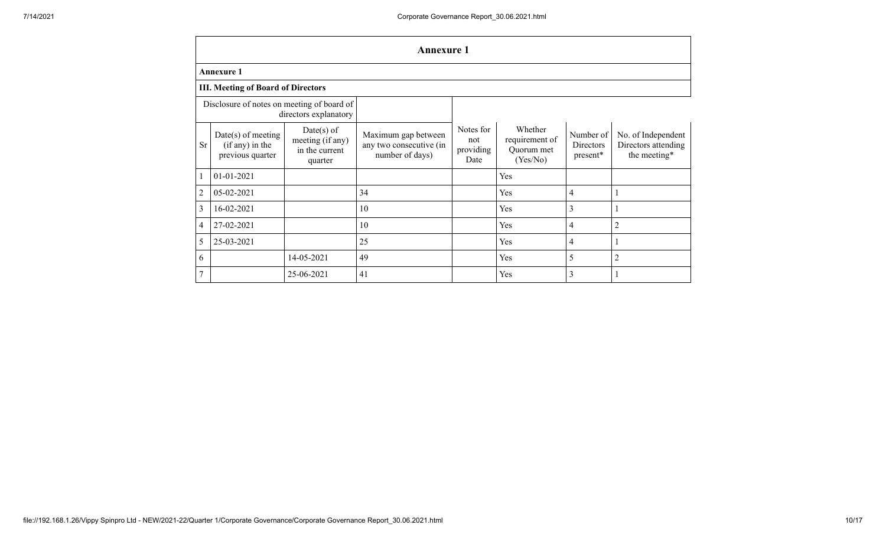|                                                                     | <b>Annexure 1</b>                                           |                                                               |                                                                   |                                       |                                                     |                                    |                                                           |  |  |  |  |  |  |
|---------------------------------------------------------------------|-------------------------------------------------------------|---------------------------------------------------------------|-------------------------------------------------------------------|---------------------------------------|-----------------------------------------------------|------------------------------------|-----------------------------------------------------------|--|--|--|--|--|--|
|                                                                     | <b>Annexure 1</b>                                           |                                                               |                                                                   |                                       |                                                     |                                    |                                                           |  |  |  |  |  |  |
|                                                                     | <b>III. Meeting of Board of Directors</b>                   |                                                               |                                                                   |                                       |                                                     |                                    |                                                           |  |  |  |  |  |  |
| Disclosure of notes on meeting of board of<br>directors explanatory |                                                             |                                                               |                                                                   |                                       |                                                     |                                    |                                                           |  |  |  |  |  |  |
| <b>Sr</b>                                                           | $Date(s)$ of meeting<br>(if any) in the<br>previous quarter | $Date(s)$ of<br>meeting (if any)<br>in the current<br>quarter | Maximum gap between<br>any two consecutive (in<br>number of days) | Notes for<br>not<br>providing<br>Date | Whether<br>requirement of<br>Quorum met<br>(Yes/No) | Number of<br>Directors<br>present* | No. of Independent<br>Directors attending<br>the meeting* |  |  |  |  |  |  |
|                                                                     | 01-01-2021                                                  |                                                               |                                                                   |                                       | Yes                                                 |                                    |                                                           |  |  |  |  |  |  |
| $\overline{2}$                                                      | 05-02-2021                                                  |                                                               | 34                                                                |                                       | Yes                                                 | 4                                  | 1                                                         |  |  |  |  |  |  |
| 3                                                                   | 16-02-2021                                                  |                                                               | 10                                                                |                                       | Yes                                                 | 3                                  |                                                           |  |  |  |  |  |  |
| 4                                                                   | 27-02-2021                                                  |                                                               | 10                                                                |                                       | Yes                                                 | 4                                  | $\overline{c}$                                            |  |  |  |  |  |  |
| 5                                                                   | 25-03-2021                                                  |                                                               | 25                                                                |                                       | Yes                                                 | 4                                  | 1                                                         |  |  |  |  |  |  |
| 6                                                                   |                                                             | 14-05-2021                                                    | 49                                                                |                                       | Yes                                                 | 5                                  | $\overline{2}$                                            |  |  |  |  |  |  |
| 7                                                                   | 3<br>25-06-2021<br>41<br>Yes<br>1                           |                                                               |                                                                   |                                       |                                                     |                                    |                                                           |  |  |  |  |  |  |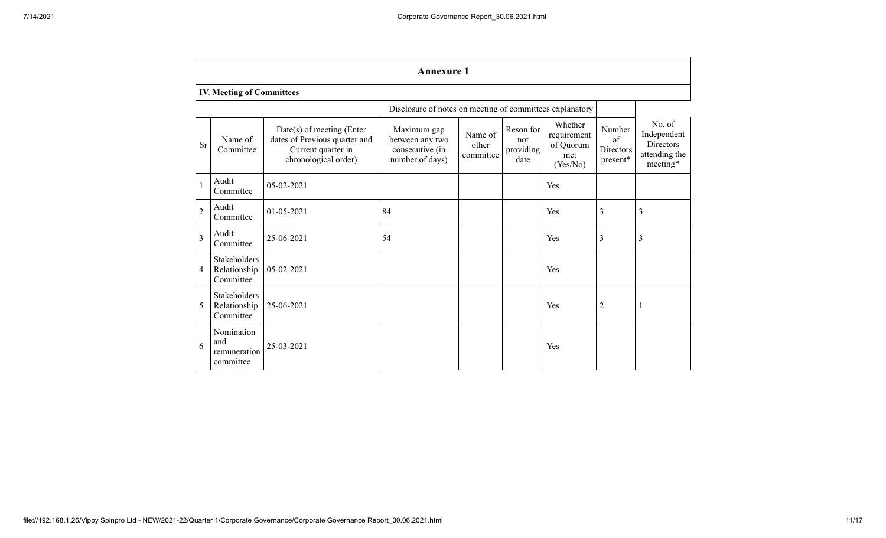|                | <b>Annexure 1</b>                              |                                                                                                          |                                                                      |                               |                                       |                                                        |                                       |                                                                 |  |  |  |  |  |  |
|----------------|------------------------------------------------|----------------------------------------------------------------------------------------------------------|----------------------------------------------------------------------|-------------------------------|---------------------------------------|--------------------------------------------------------|---------------------------------------|-----------------------------------------------------------------|--|--|--|--|--|--|
|                | <b>IV. Meeting of Committees</b>               |                                                                                                          |                                                                      |                               |                                       |                                                        |                                       |                                                                 |  |  |  |  |  |  |
|                |                                                |                                                                                                          | Disclosure of notes on meeting of committees explanatory             |                               |                                       |                                                        |                                       |                                                                 |  |  |  |  |  |  |
| <b>Sr</b>      | Name of<br>Committee                           | Date(s) of meeting (Enter<br>dates of Previous quarter and<br>Current quarter in<br>chronological order) | Maximum gap<br>between any two<br>consecutive (in<br>number of days) | Name of<br>other<br>committee | Reson for<br>not<br>providing<br>date | Whether<br>requirement<br>of Quorum<br>met<br>(Yes/No) | Number<br>of<br>Directors<br>present* | No. of<br>Independent<br>Directors<br>attending the<br>meeting* |  |  |  |  |  |  |
| $\mathbf{1}$   | Audit<br>Committee                             | 05-02-2021                                                                                               |                                                                      |                               |                                       | Yes                                                    |                                       |                                                                 |  |  |  |  |  |  |
| $\overline{2}$ | Audit<br>Committee                             | 01-05-2021                                                                                               | 84                                                                   |                               |                                       | Yes                                                    | 3                                     | 3                                                               |  |  |  |  |  |  |
| $\overline{3}$ | Audit<br>Committee                             | 25-06-2021                                                                                               | 54                                                                   |                               |                                       | Yes                                                    | 3                                     | 3                                                               |  |  |  |  |  |  |
| $\overline{4}$ | Stakeholders<br>Relationship<br>Committee      | 05-02-2021                                                                                               |                                                                      |                               |                                       | Yes                                                    |                                       |                                                                 |  |  |  |  |  |  |
| 5              | Stakeholders<br>Relationship<br>Committee      | 25-06-2021                                                                                               |                                                                      |                               |                                       | Yes                                                    | 2                                     | 1                                                               |  |  |  |  |  |  |
| 6              | Nomination<br>and<br>remuneration<br>committee | 25-03-2021                                                                                               |                                                                      |                               |                                       | Yes                                                    |                                       |                                                                 |  |  |  |  |  |  |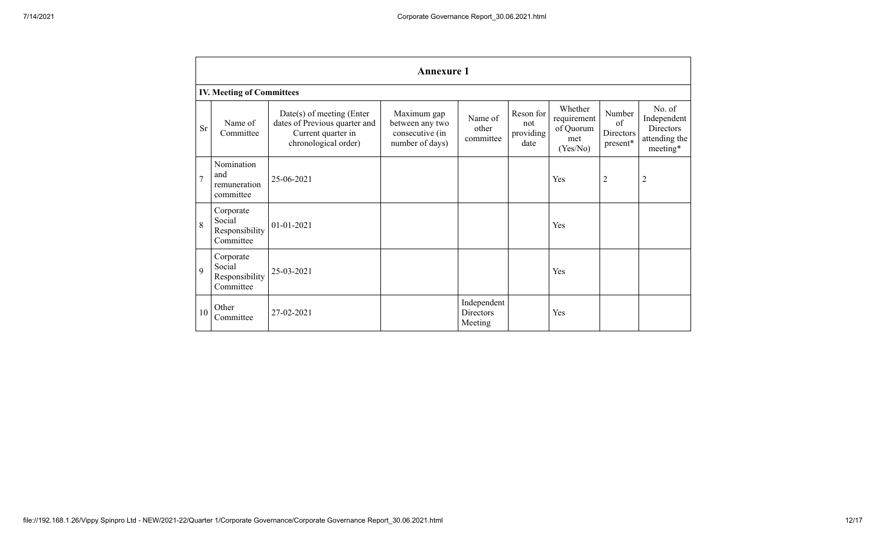|                | <b>Annexure 1</b>                                  |                                                                                                            |                                                                      |                                     |                                       |                                                        |                                       |                                                                        |  |  |  |  |  |
|----------------|----------------------------------------------------|------------------------------------------------------------------------------------------------------------|----------------------------------------------------------------------|-------------------------------------|---------------------------------------|--------------------------------------------------------|---------------------------------------|------------------------------------------------------------------------|--|--|--|--|--|
|                | <b>IV. Meeting of Committees</b>                   |                                                                                                            |                                                                      |                                     |                                       |                                                        |                                       |                                                                        |  |  |  |  |  |
| <b>Sr</b>      | Name of<br>Committee                               | $Date(s)$ of meeting (Enter<br>dates of Previous quarter and<br>Current quarter in<br>chronological order) | Maximum gap<br>between any two<br>consecutive (in<br>number of days) | Name of<br>other<br>committee       | Reson for<br>not<br>providing<br>date | Whether<br>requirement<br>of Quorum<br>met<br>(Yes/No) | Number<br>of<br>Directors<br>present* | No. of<br>Independent<br><b>Directors</b><br>attending the<br>meeting* |  |  |  |  |  |
| $\overline{7}$ | Nomination<br>and<br>remuneration<br>committee     | 25-06-2021                                                                                                 |                                                                      |                                     |                                       | Yes                                                    | $\overline{c}$                        | $\overline{c}$                                                         |  |  |  |  |  |
| 8              | Corporate<br>Social<br>Responsibility<br>Committee | $01 - 01 - 2021$                                                                                           |                                                                      |                                     |                                       | Yes                                                    |                                       |                                                                        |  |  |  |  |  |
| 9              | Corporate<br>Social<br>Responsibility<br>Committee | 25-03-2021                                                                                                 |                                                                      |                                     |                                       | Yes                                                    |                                       |                                                                        |  |  |  |  |  |
| 10             | Other<br>Committee                                 | 27-02-2021                                                                                                 |                                                                      | Independent<br>Directors<br>Meeting |                                       | Yes                                                    |                                       |                                                                        |  |  |  |  |  |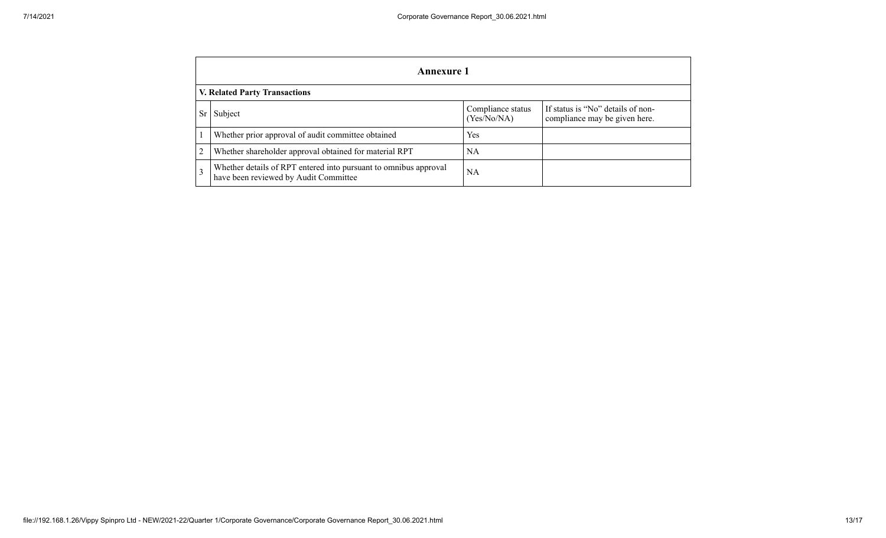|                                      | <b>Annexure 1</b>                                                                                         |                                  |                                                                    |  |  |  |
|--------------------------------------|-----------------------------------------------------------------------------------------------------------|----------------------------------|--------------------------------------------------------------------|--|--|--|
| <b>V. Related Party Transactions</b> |                                                                                                           |                                  |                                                                    |  |  |  |
| <b>Sr</b>                            | Subject                                                                                                   | Compliance status<br>(Yes/No/NA) | If status is "No" details of non-<br>compliance may be given here. |  |  |  |
|                                      | Whether prior approval of audit committee obtained                                                        | <b>Yes</b>                       |                                                                    |  |  |  |
|                                      | Whether shareholder approval obtained for material RPT                                                    | NA                               |                                                                    |  |  |  |
|                                      | Whether details of RPT entered into pursuant to omnibus approval<br>have been reviewed by Audit Committee | NA                               |                                                                    |  |  |  |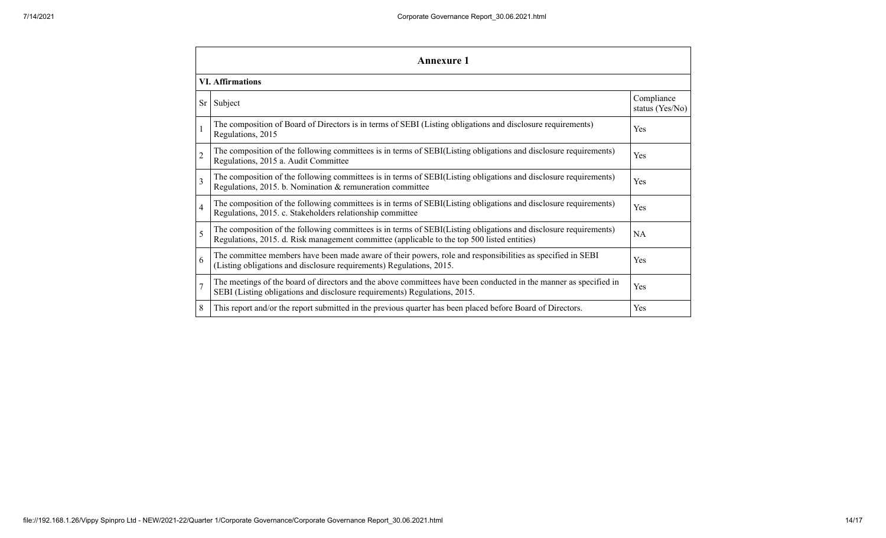| <b>Annexure 1</b>        |                                                                                                                                                                                                                 |                               |  |  |  |
|--------------------------|-----------------------------------------------------------------------------------------------------------------------------------------------------------------------------------------------------------------|-------------------------------|--|--|--|
| <b>VI.</b> Affirmations  |                                                                                                                                                                                                                 |                               |  |  |  |
| Sr                       | Subject                                                                                                                                                                                                         | Compliance<br>status (Yes/No) |  |  |  |
|                          | The composition of Board of Directors is in terms of SEBI (Listing obligations and disclosure requirements)<br>Regulations, 2015                                                                                | Yes                           |  |  |  |
| $\overline{2}$           | The composition of the following committees is in terms of SEBI(Listing obligations and disclosure requirements)<br>Regulations, 2015 a. Audit Committee                                                        | Yes                           |  |  |  |
| $\overline{\mathcal{E}}$ | The composition of the following committees is in terms of SEBI(Listing obligations and disclosure requirements)<br>Regulations, 2015. b. Nomination & remuneration committee                                   | Yes                           |  |  |  |
| $\overline{4}$           | The composition of the following committees is in terms of SEBI(Listing obligations and disclosure requirements)<br>Regulations, 2015. c. Stakeholders relationship committee                                   | Yes                           |  |  |  |
| 5                        | The composition of the following committees is in terms of SEBI(Listing obligations and disclosure requirements)<br>Regulations, 2015. d. Risk management committee (applicable to the top 500 listed entities) | <b>NA</b>                     |  |  |  |
| 6                        | The committee members have been made aware of their powers, role and responsibilities as specified in SEBI<br>(Listing obligations and disclosure requirements) Regulations, 2015.                              | Yes                           |  |  |  |
| $\overline{7}$           | The meetings of the board of directors and the above committees have been conducted in the manner as specified in<br>SEBI (Listing obligations and disclosure requirements) Regulations, 2015.                  | Yes                           |  |  |  |
| 8                        | This report and/or the report submitted in the previous quarter has been placed before Board of Directors.                                                                                                      | Yes                           |  |  |  |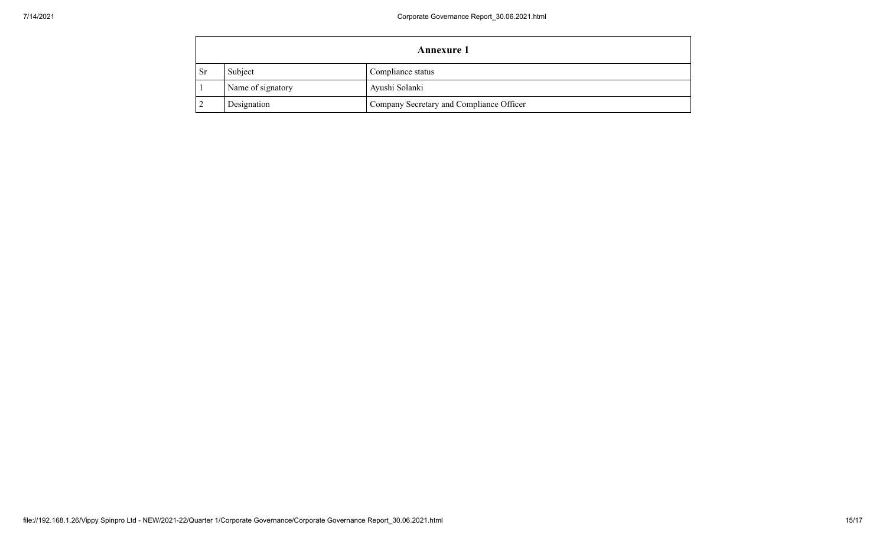|               | <b>Annexure 1</b> |                                          |  |
|---------------|-------------------|------------------------------------------|--|
| <sub>Sr</sub> | Subject           | Compliance status                        |  |
|               | Name of signatory | Ayushi Solanki                           |  |
|               | Designation       | Company Secretary and Compliance Officer |  |